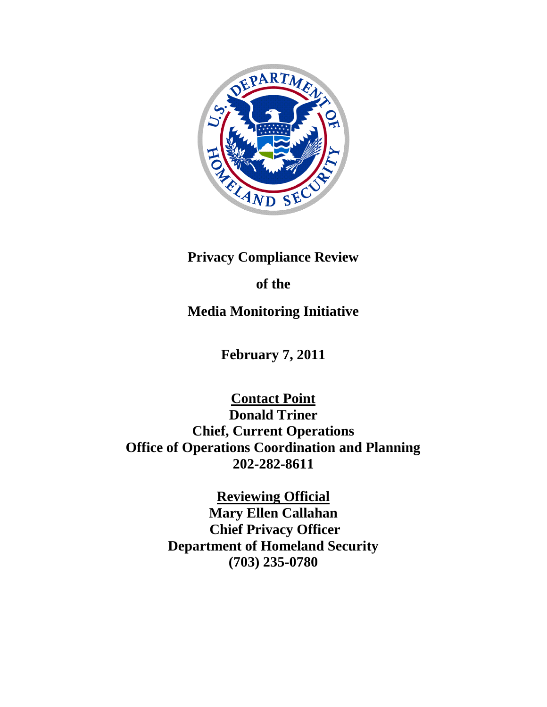

## **Privacy Compliance Review**

# **of the**

## **Media Monitoring Initiative**

**February 7, 2011**

**Contact Point Donald Triner Chief, Current Operations Office of Operations Coordination and Planning 202-282-8611**

> **Reviewing Official Mary Ellen Callahan Chief Privacy Officer Department of Homeland Security (703) 235-0780**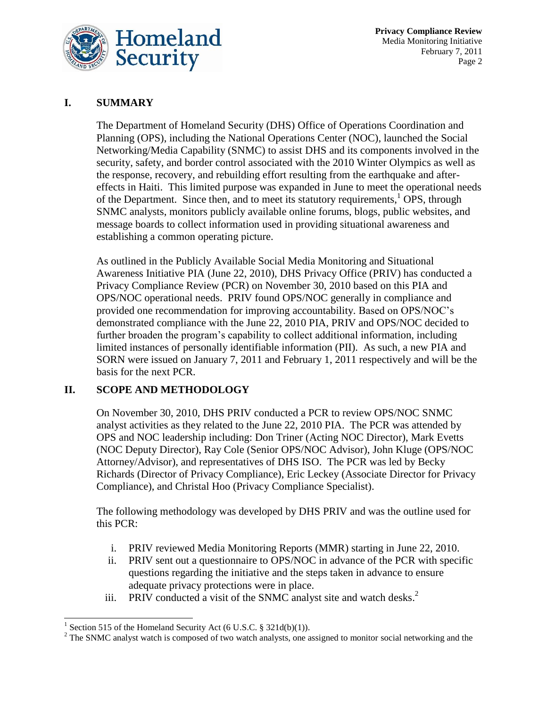

**Privacy Compliance Review** Media Monitoring Initiative February 7, 2011 Page 2

## **I. SUMMARY**

The Department of Homeland Security (DHS) Office of Operations Coordination and Planning (OPS), including the National Operations Center (NOC), launched the Social Networking/Media Capability (SNMC) to assist DHS and its components involved in the security, safety, and border control associated with the 2010 Winter Olympics as well as the response, recovery, and rebuilding effort resulting from the earthquake and aftereffects in Haiti. This limited purpose was expanded in June to meet the operational needs of the Department. Since then, and to meet its statutory requirements,<sup>1</sup> OPS, through SNMC analysts, monitors publicly available online forums, blogs, public websites, and message boards to collect information used in providing situational awareness and establishing a common operating picture.

As outlined in the Publicly Available Social Media Monitoring and Situational Awareness Initiative PIA (June 22, 2010), DHS Privacy Office (PRIV) has conducted a Privacy Compliance Review (PCR) on November 30, 2010 based on this PIA and OPS/NOC operational needs. PRIV found OPS/NOC generally in compliance and provided one recommendation for improving accountability. Based on OPS/NOC's demonstrated compliance with the June 22, 2010 PIA, PRIV and OPS/NOC decided to further broaden the program's capability to collect additional information, including limited instances of personally identifiable information (PII). As such, a new PIA and SORN were issued on January 7, 2011 and February 1, 2011 respectively and will be the basis for the next PCR.

## **II. SCOPE AND METHODOLOGY**

On November 30, 2010, DHS PRIV conducted a PCR to review OPS/NOC SNMC analyst activities as they related to the June 22, 2010 PIA. The PCR was attended by OPS and NOC leadership including: Don Triner (Acting NOC Director), Mark Evetts (NOC Deputy Director), Ray Cole (Senior OPS/NOC Advisor), John Kluge (OPS/NOC Attorney/Advisor), and representatives of DHS ISO. The PCR was led by Becky Richards (Director of Privacy Compliance), Eric Leckey (Associate Director for Privacy Compliance), and Christal Hoo (Privacy Compliance Specialist).

The following methodology was developed by DHS PRIV and was the outline used for this PCR:

- i. PRIV reviewed Media Monitoring Reports (MMR) starting in June 22, 2010.
- ii. PRIV sent out a questionnaire to OPS/NOC in advance of the PCR with specific questions regarding the initiative and the steps taken in advance to ensure adequate privacy protections were in place.
- iii. PRIV conducted a visit of the SNMC analyst site and watch desks.<sup>2</sup>

<sup>&</sup>lt;sup>1</sup> Section 515 of the Homeland Security Act (6 U.S.C. § 321d(b)(1)).

<sup>&</sup>lt;sup>2</sup> The SNMC analyst watch is composed of two watch analysts, one assigned to monitor social networking and the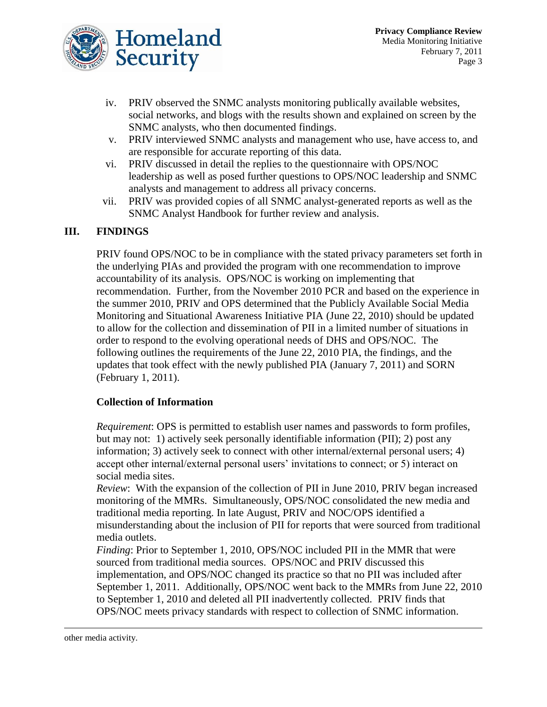

- iv. PRIV observed the SNMC analysts monitoring publically available websites, social networks, and blogs with the results shown and explained on screen by the SNMC analysts, who then documented findings.
- v. PRIV interviewed SNMC analysts and management who use, have access to, and are responsible for accurate reporting of this data.
- vi. PRIV discussed in detail the replies to the questionnaire with OPS/NOC leadership as well as posed further questions to OPS/NOC leadership and SNMC analysts and management to address all privacy concerns.
- vii. PRIV was provided copies of all SNMC analyst-generated reports as well as the SNMC Analyst Handbook for further review and analysis.

## **III. FINDINGS**

PRIV found OPS/NOC to be in compliance with the stated privacy parameters set forth in the underlying PIAs and provided the program with one recommendation to improve accountability of its analysis. OPS/NOC is working on implementing that recommendation. Further, from the November 2010 PCR and based on the experience in the summer 2010, PRIV and OPS determined that the Publicly Available Social Media Monitoring and Situational Awareness Initiative PIA (June 22, 2010) should be updated to allow for the collection and dissemination of PII in a limited number of situations in order to respond to the evolving operational needs of DHS and OPS/NOC. The following outlines the requirements of the June 22, 2010 PIA, the findings, and the updates that took effect with the newly published PIA (January 7, 2011) and SORN (February 1, 2011).

## **Collection of Information**

*Requirement*: OPS is permitted to establish user names and passwords to form profiles, but may not: 1) actively seek personally identifiable information (PII); 2) post any information; 3) actively seek to connect with other internal/external personal users; 4) accept other internal/external personal users' invitations to connect; or 5) interact on social media sites.

*Review*: With the expansion of the collection of PII in June 2010, PRIV began increased monitoring of the MMRs. Simultaneously, OPS/NOC consolidated the new media and traditional media reporting. In late August, PRIV and NOC/OPS identified a misunderstanding about the inclusion of PII for reports that were sourced from traditional media outlets.

*Finding*: Prior to September 1, 2010, OPS/NOC included PII in the MMR that were sourced from traditional media sources. OPS/NOC and PRIV discussed this implementation, and OPS/NOC changed its practice so that no PII was included after September 1, 2011. Additionally, OPS/NOC went back to the MMRs from June 22, 2010 to September 1, 2010 and deleted all PII inadvertently collected. PRIV finds that OPS/NOC meets privacy standards with respect to collection of SNMC information.

other media activity.

l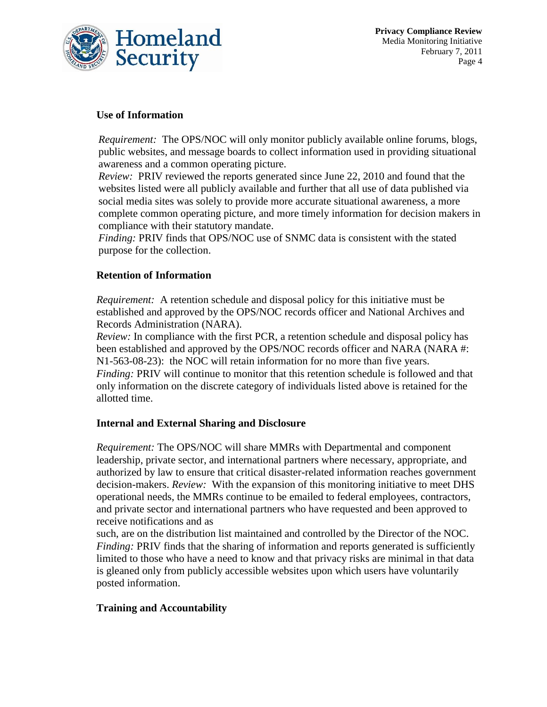

### **Use of Information**

*Requirement:* The OPS/NOC will only monitor publicly available online forums, blogs, public websites, and message boards to collect information used in providing situational awareness and a common operating picture.

*Review:* PRIV reviewed the reports generated since June 22, 2010 and found that the websites listed were all publicly available and further that all use of data published via social media sites was solely to provide more accurate situational awareness, a more complete common operating picture, and more timely information for decision makers in compliance with their statutory mandate.

*Finding:* PRIV finds that OPS/NOC use of SNMC data is consistent with the stated purpose for the collection.

## **Retention of Information**

*Requirement:* A retention schedule and disposal policy for this initiative must be established and approved by the OPS/NOC records officer and National Archives and Records Administration (NARA).

*Review:* In compliance with the first PCR, a retention schedule and disposal policy has been established and approved by the OPS/NOC records officer and NARA (NARA #: N1-563-08-23): the NOC will retain information for no more than five years. *Finding:* PRIV will continue to monitor that this retention schedule is followed and that only information on the discrete category of individuals listed above is retained for the allotted time.

#### **Internal and External Sharing and Disclosure**

*Requirement:* The OPS/NOC will share MMRs with Departmental and component leadership, private sector, and international partners where necessary, appropriate, and authorized by law to ensure that critical disaster-related information reaches government decision-makers. *Review:* With the expansion of this monitoring initiative to meet DHS operational needs, the MMRs continue to be emailed to federal employees, contractors, and private sector and international partners who have requested and been approved to receive notifications and as

such, are on the distribution list maintained and controlled by the Director of the NOC. *Finding:* PRIV finds that the sharing of information and reports generated is sufficiently limited to those who have a need to know and that privacy risks are minimal in that data is gleaned only from publicly accessible websites upon which users have voluntarily posted information.

## **Training and Accountability**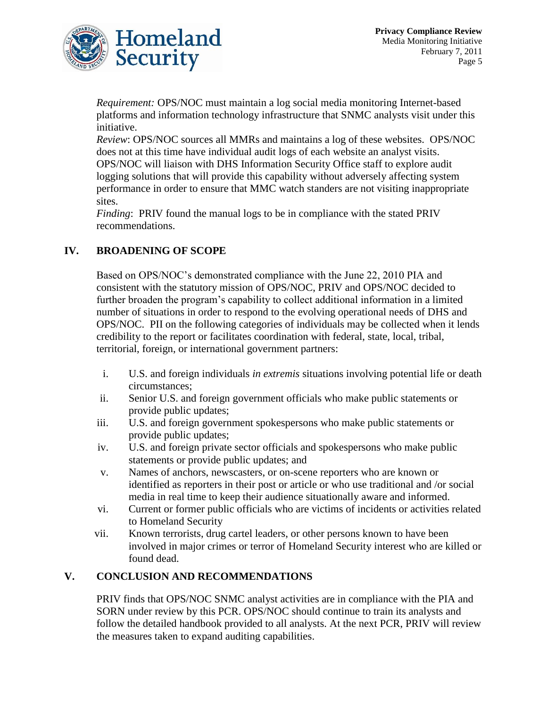

*Requirement:* OPS/NOC must maintain a log social media monitoring Internet-based platforms and information technology infrastructure that SNMC analysts visit under this initiative.

*Review*: OPS/NOC sources all MMRs and maintains a log of these websites. OPS/NOC does not at this time have individual audit logs of each website an analyst visits. OPS/NOC will liaison with DHS Information Security Office staff to explore audit logging solutions that will provide this capability without adversely affecting system performance in order to ensure that MMC watch standers are not visiting inappropriate sites.

*Finding*: PRIV found the manual logs to be in compliance with the stated PRIV recommendations.

## **IV. BROADENING OF SCOPE**

Based on OPS/NOC's demonstrated compliance with the June 22, 2010 PIA and consistent with the statutory mission of OPS/NOC, PRIV and OPS/NOC decided to further broaden the program's capability to collect additional information in a limited number of situations in order to respond to the evolving operational needs of DHS and OPS/NOC. PII on the following categories of individuals may be collected when it lends credibility to the report or facilitates coordination with federal, state, local, tribal, territorial, foreign, or international government partners:

- i. U.S. and foreign individuals *in extremis* situations involving potential life or death circumstances;
- ii. Senior U.S. and foreign government officials who make public statements or provide public updates;
- iii. U.S. and foreign government spokespersons who make public statements or provide public updates;
- iv. U.S. and foreign private sector officials and spokespersons who make public statements or provide public updates; and
- v. Names of anchors, newscasters, or on-scene reporters who are known or identified as reporters in their post or article or who use traditional and /or social media in real time to keep their audience situationally aware and informed.
- vi. Current or former public officials who are victims of incidents or activities related to Homeland Security
- vii. Known terrorists, drug cartel leaders, or other persons known to have been involved in major crimes or terror of Homeland Security interest who are killed or found dead.

## **V. CONCLUSION AND RECOMMENDATIONS**

PRIV finds that OPS/NOC SNMC analyst activities are in compliance with the PIA and SORN under review by this PCR. OPS/NOC should continue to train its analysts and follow the detailed handbook provided to all analysts. At the next PCR, PRIV will review the measures taken to expand auditing capabilities.